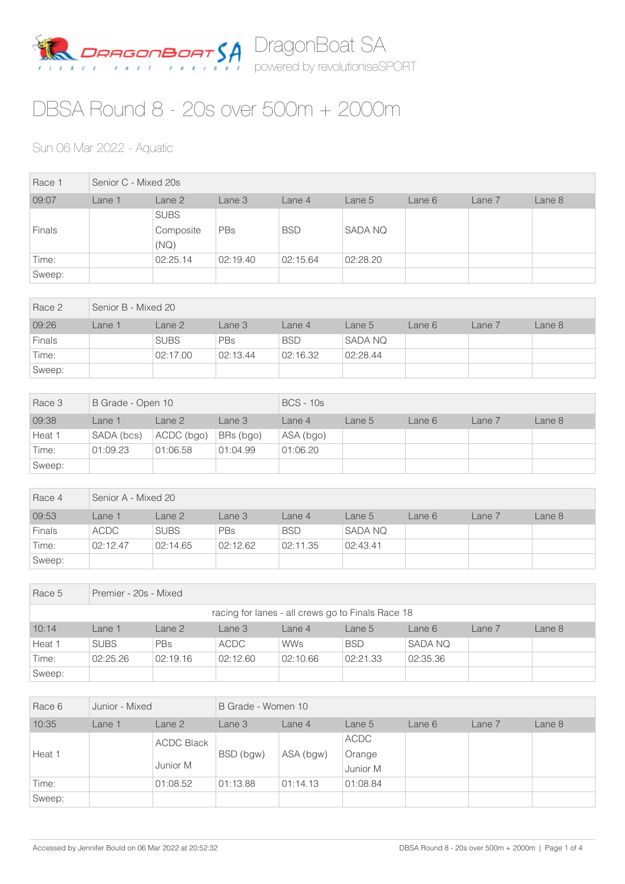

## DBSA Round 8 - 20s over 500m + 2000m

## Sun 06 Mar 2022 - Aquatic

| Race 1        | Senior C - Mixed 20s |                                  |          |            |          |        |        |        |  |
|---------------|----------------------|----------------------------------|----------|------------|----------|--------|--------|--------|--|
| 09:07         | Lane 1               | Lane 2                           | Lane 3   | Lane 4     | Lane 5   | Lane 6 | Lane 7 | Lane 8 |  |
| <b>Finals</b> |                      | <b>SUBS</b><br>Composite<br>(NQ) | PBs      | <b>BSD</b> | SADA NQ  |        |        |        |  |
| Time:         |                      | 02:25.14                         | 02:19.40 | 02:15.64   | 02:28.20 |        |        |        |  |
| Sweep:        |                      |                                  |          |            |          |        |        |        |  |

| Race 2        | Senior B - Mixed 20 |             |            |            |                |        |        |        |  |
|---------------|---------------------|-------------|------------|------------|----------------|--------|--------|--------|--|
| 09:26         | Lane 1              | Lane 2      | Lane 3     | Lane 4     | Lane 5         | Lane 6 | Lane 7 | Lane 8 |  |
| <b>Finals</b> |                     | <b>SUBS</b> | <b>PBs</b> | <b>BSD</b> | <b>SADA NQ</b> |        |        |        |  |
| Time:         |                     | 02:17.00    | 02:13.44   | 02:16.32   | 02:28.44       |        |        |        |  |
| Sweep:        |                     |             |            |            |                |        |        |        |  |

| Race 3 | B Grade - Open 10 |            |           | $BCS - 10s$ |        |        |        |        |
|--------|-------------------|------------|-----------|-------------|--------|--------|--------|--------|
| 09:38  | _ane 1            | Lane 2     | Lane 3    | Lane 4      | Lane 5 | Lane 6 | Lane 7 | Lane 8 |
| Heat 1 | SADA (bcs)        | ACDC (bgo) | BRs (bgo) | ASA (bgo)   |        |        |        |        |
| Time:  | 01:09.23          | 01:06.58   | 01:04.99  | 01:06.20    |        |        |        |        |
| Sweep: |                   |            |           |             |        |        |        |        |

| Race 4 | Senior A - Mixed 20 |             |          |            |                |        |        |        |  |
|--------|---------------------|-------------|----------|------------|----------------|--------|--------|--------|--|
| 09:53  | _ane 1              | Lane 2      | Lane 3   | Lane 4     | Lane 5         | Lane 6 | Lane 7 | Lane 8 |  |
| Finals | ACDC                | <b>SUBS</b> | PBs      | <b>BSD</b> | <b>SADA NQ</b> |        |        |        |  |
| Time:  | 02:12.47            | 02:14.65    | 02:12.62 | 02:11.35   | 02:43.41       |        |        |        |  |
| Sweep: |                     |             |          |            |                |        |        |        |  |

| Race 5                                            | Premier - 20s - Mixed |                                                                      |             |            |            |                |  |  |  |  |  |
|---------------------------------------------------|-----------------------|----------------------------------------------------------------------|-------------|------------|------------|----------------|--|--|--|--|--|
| racing for lanes - all crews go to Finals Race 18 |                       |                                                                      |             |            |            |                |  |  |  |  |  |
| 10:14                                             | Lane 1                | Lane 2<br>Lane 3<br>Lane 8<br>Lane 7<br>Lane 5<br>Lane 6<br>Lane $4$ |             |            |            |                |  |  |  |  |  |
| Heat 1                                            | <b>SUBS</b>           | <b>PBs</b>                                                           | <b>ACDC</b> | <b>WWs</b> | <b>BSD</b> | <b>SADA NQ</b> |  |  |  |  |  |
| Time:                                             | 02:25.26              | 02:19.16                                                             | 02:12.60    | 02:10.66   | 02:21.33   | 02:35.36       |  |  |  |  |  |
| Sweep:                                            |                       |                                                                      |             |            |            |                |  |  |  |  |  |

| Race 6 | Junior - Mixed |                   | B Grade - Women 10 |          |          |        |        |        |
|--------|----------------|-------------------|--------------------|----------|----------|--------|--------|--------|
| 10:35  | Lane 1         | Lane 2            | Lane 3             | Lane 4   | Lane 5   | Lane 6 | Lane 7 | Lane 8 |
|        |                | <b>ACDC Black</b> |                    |          | ACDC     |        |        |        |
| Heat 1 |                | BSD (bgw)         | ASA (bgw)          | Orange   |          |        |        |        |
|        |                | Junior M          |                    |          | Junior M |        |        |        |
| Time:  |                | 01:08.52          | 01:13.88           | 01:14.13 | 01:08.84 |        |        |        |
| Sweep: |                |                   |                    |          |          |        |        |        |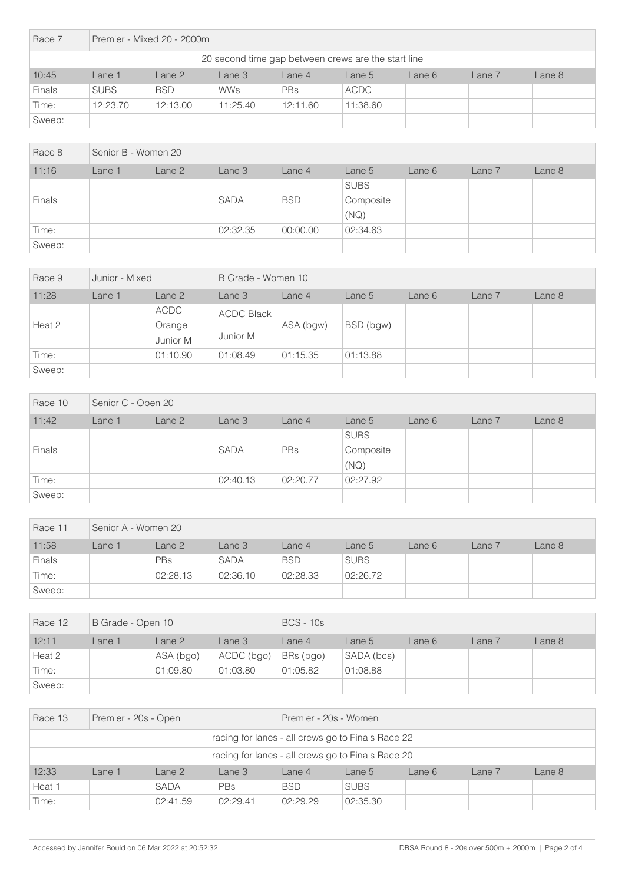| Race 7                                              | Premier - Mixed 20 - 2000m |                                                                    |            |          |             |  |  |  |  |  |  |
|-----------------------------------------------------|----------------------------|--------------------------------------------------------------------|------------|----------|-------------|--|--|--|--|--|--|
| 20 second time gap between crews are the start line |                            |                                                                    |            |          |             |  |  |  |  |  |  |
| 10:45                                               | Lane 1                     | Lane 2<br>Lane 8<br>Lane 7<br>Lane 3<br>Lane 6<br>Lane 4<br>Lane 5 |            |          |             |  |  |  |  |  |  |
| <b>Finals</b>                                       | <b>SUBS</b>                | <b>BSD</b>                                                         | <b>WWs</b> | PBs      | <b>ACDC</b> |  |  |  |  |  |  |
| Time:                                               | 12:23.70                   | 12:13.00                                                           | 11:25.40   | 12:11.60 | 11:38.60    |  |  |  |  |  |  |
| Sweep:                                              |                            |                                                                    |            |          |             |  |  |  |  |  |  |

| Race 8 | Senior B - Women 20 |        |             |            |             |        |        |        |
|--------|---------------------|--------|-------------|------------|-------------|--------|--------|--------|
| 11:16  | Lane 1              | Lane 2 | Lane 3      | Lane 4     | Lane 5      | Lane 6 | Lane 7 | Lane 8 |
|        |                     |        |             |            | <b>SUBS</b> |        |        |        |
| Finals |                     |        | <b>SADA</b> | <b>BSD</b> | Composite   |        |        |        |
|        |                     |        |             |            | (NQ)        |        |        |        |
| Time:  |                     |        | 02:32.35    | 00:00.00   | 02:34.63    |        |        |        |
| Sweep: |                     |        |             |            |             |        |        |        |

| Race 9 | Junior - Mixed |                            | B Grade - Women 10            |           |           |        |        |        |
|--------|----------------|----------------------------|-------------------------------|-----------|-----------|--------|--------|--------|
| 11:28  | Lane 1         | Lane 2                     | Lane 3                        | Lane 4    | Lane 5    | Lane 6 | Lane 7 | Lane 8 |
| Heat 2 |                | ACDC<br>Orange<br>Junior M | <b>ACDC Black</b><br>Junior M | ASA (bgw) | BSD (bgw) |        |        |        |
| Time:  |                | 01:10.90                   | 01:08.49                      | 01:15.35  | 01:13.88  |        |        |        |
| Sweep: |                |                            |                               |           |           |        |        |        |

| Race 10 | Senior C - Open 20 |        |             |            |             |        |        |        |  |
|---------|--------------------|--------|-------------|------------|-------------|--------|--------|--------|--|
| 11:42   | Lane 1             | Lane 2 | Lane 3      | Lane 4     | Lane 5      | Lane 6 | Lane 7 | Lane 8 |  |
|         |                    |        |             |            | <b>SUBS</b> |        |        |        |  |
| Finals  |                    |        | <b>SADA</b> | <b>PBs</b> | Composite   |        |        |        |  |
|         |                    |        |             |            | (NQ)        |        |        |        |  |
| Time:   |                    |        | 02:40.13    | 02:20.77   | 02:27.92    |        |        |        |  |
| Sweep:  |                    |        |             |            |             |        |        |        |  |

| Race 11 | Senior A - Women 20 |            |             |            |             |        |        |        |  |
|---------|---------------------|------------|-------------|------------|-------------|--------|--------|--------|--|
| 11:58   | ane 1               | Lane 2     | Lane 3      | Lane 4     | Lane 5      | Lane 6 | Lane 7 | Lane 8 |  |
| Finals  |                     | <b>PBs</b> | <b>SADA</b> | <b>BSD</b> | <b>SUBS</b> |        |        |        |  |
| Time:   |                     | 02:28.13   | 02:36.10    | 02:28.33   | 02:26.72    |        |        |        |  |
| Sweep:  |                     |            |             |            |             |        |        |        |  |

| Race 12 | B Grade - Open 10 |           |            | $BCS - 10s$ |            |        |        |        |  |  |  |  |
|---------|-------------------|-----------|------------|-------------|------------|--------|--------|--------|--|--|--|--|
| 12:11   | _ane 1            | Lane 2    | Lane 3     | Lane 4      | Lane 5     | Lane 6 | Lane 7 | Lane 8 |  |  |  |  |
| Heat 2  |                   | ASA (bgo) | ACDC (bgo) | BRs (bgo)   | SADA (bcs) |        |        |        |  |  |  |  |
| Time:   |                   | 01:09.80  | 01:03.80   | 01:05.82    | 01:08.88   |        |        |        |  |  |  |  |
| Sweep:  |                   |           |            |             |            |        |        |        |  |  |  |  |

| Race 13 | Premier - 20s - Open |                   |                                                   |                                                   | Premier - 20s - Women |        |        |        |  |  |
|---------|----------------------|-------------------|---------------------------------------------------|---------------------------------------------------|-----------------------|--------|--------|--------|--|--|
|         |                      |                   |                                                   | racing for lanes - all crews go to Finals Race 22 |                       |        |        |        |  |  |
|         |                      |                   | racing for lanes - all crews go to Finals Race 20 |                                                   |                       |        |        |        |  |  |
| 12:33   | Lane 1               | Lane <sub>2</sub> | Lane 3                                            | Lane $4$                                          | Lane 5                | Lane 6 | Lane 7 | Lane 8 |  |  |
| Heat 1  |                      | <b>SADA</b>       | <b>PBs</b>                                        | <b>BSD</b>                                        | <b>SUBS</b>           |        |        |        |  |  |
| Time:   | 02:41.59<br>02:29.41 |                   |                                                   | 02:29.29                                          | 02:35.30              |        |        |        |  |  |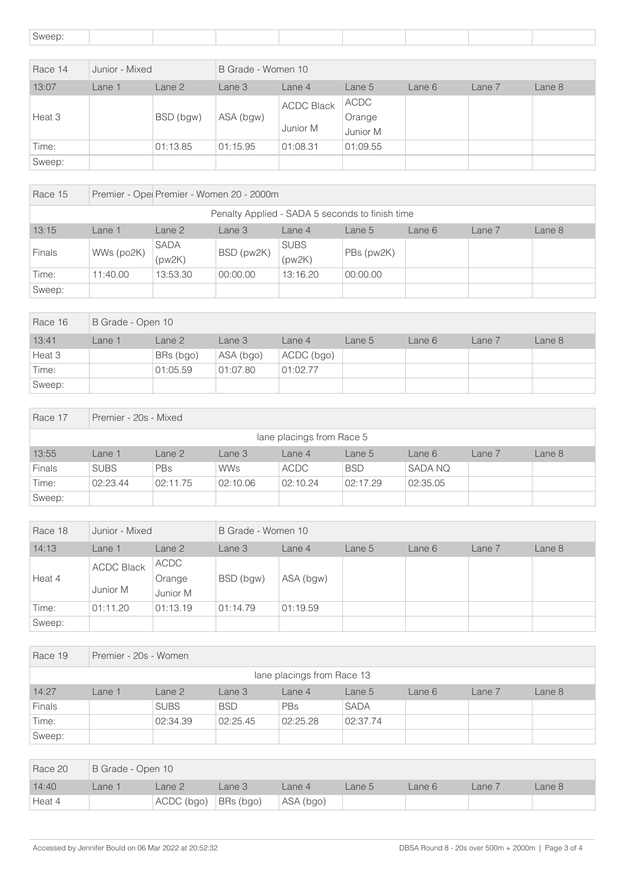| Sweep:  |                |           |           |                               |                            |        |        |        |  |  |
|---------|----------------|-----------|-----------|-------------------------------|----------------------------|--------|--------|--------|--|--|
|         |                |           |           |                               |                            |        |        |        |  |  |
| Race 14 | Junior - Mixed |           |           | B Grade - Women 10            |                            |        |        |        |  |  |
| 13:07   | Lane 1         | Lane 2    | Lane 3    | Lane 4                        | Lane 5                     | Lane 6 | Lane 7 | Lane 8 |  |  |
| Heat 3  |                | BSD (bgw) | ASA (bgw) | <b>ACDC Black</b><br>Junior M | ACDC<br>Orange<br>Junior M |        |        |        |  |  |
| Time:   |                | 01:13.85  | 01:15.95  | 01:08.31                      | 01:09.55                   |        |        |        |  |  |
| Sweep:  |                |           |           |                               |                            |        |        |        |  |  |

| Race 15                                         | Premier - Ope Premier - Women 20 - 2000m                                       |                       |            |                       |            |  |  |  |  |
|-------------------------------------------------|--------------------------------------------------------------------------------|-----------------------|------------|-----------------------|------------|--|--|--|--|
| Penalty Applied - SADA 5 seconds to finish time |                                                                                |                       |            |                       |            |  |  |  |  |
| 13:15                                           | Lane 8<br>Lane 2<br>Lane 3<br>Lane $4$<br>Lane 6<br>Lane 7<br>Lane 1<br>Lane 5 |                       |            |                       |            |  |  |  |  |
| <b>Finals</b>                                   | WWs (po2K)                                                                     | <b>SADA</b><br>(pw2K) | BSD (pw2K) | <b>SUBS</b><br>(pw2K) | PBs (pw2K) |  |  |  |  |
| Time:                                           | 11:40.00                                                                       | 13:53.30              | 00:00.00   | 13:16.20              | 00:00.00   |  |  |  |  |
| Sweep:                                          |                                                                                |                       |            |                       |            |  |  |  |  |

| Race 16 | B Grade - Open 10 |           |           |            |        |        |        |        |  |
|---------|-------------------|-----------|-----------|------------|--------|--------|--------|--------|--|
| 13:41   | Lane 1            | Lane 2    | Lane 3    | Lane 4     | Lane 5 | Lane 6 | Lane 7 | Lane 8 |  |
| Heat 3  |                   | BRs (bgo) | ASA (bgo) | ACDC (bgo) |        |        |        |        |  |
| Time:   |                   | 01:05.59  | 01:07.80  | 01:02.77   |        |        |        |        |  |
| Sweep:  |                   |           |           |            |        |        |        |        |  |

| Race 17                   | Premier - 20s - Mixed |            |            |             |            |          |        |        |  |  |
|---------------------------|-----------------------|------------|------------|-------------|------------|----------|--------|--------|--|--|
| lane placings from Race 5 |                       |            |            |             |            |          |        |        |  |  |
| 13:55                     | Lane 1                | Lane 2     | Lane 3     | Lane 4      | Lane 5     | Lane 6   | Lane 7 | Lane 8 |  |  |
| <b>Finals</b>             | <b>SUBS</b>           | <b>PBs</b> | <b>WWs</b> | <b>ACDC</b> | <b>BSD</b> | SADA NQ  |        |        |  |  |
| Time:                     | 02:23.44              | 02:11.75   | 02:10.06   | 02:10.24    | 02:17.29   | 02:35.05 |        |        |  |  |
| Sweep:                    |                       |            |            |             |            |          |        |        |  |  |

| Race 18 | Junior - Mixed                |                            | B Grade - Women 10 |           |        |        |        |        |  |
|---------|-------------------------------|----------------------------|--------------------|-----------|--------|--------|--------|--------|--|
| 14:13   | Lane 1                        | Lane 2                     | Lane 3             | Lane 4    | Lane 5 | Lane 6 | Lane 7 | Lane 8 |  |
| Heat 4  | <b>ACDC Black</b><br>Junior M | ACDC<br>Orange<br>Junior M | BSD (bgw)          | ASA (bgw) |        |        |        |        |  |
| Time:   | 01:11.20                      | 01:13.19                   | 01:14.79           | 01:19.59  |        |        |        |        |  |
| Sweep:  |                               |                            |                    |           |        |        |        |        |  |

| Race 19 | Premier - 20s - Women      |             |            |            |             |        |        |        |  |  |
|---------|----------------------------|-------------|------------|------------|-------------|--------|--------|--------|--|--|
|         | lane placings from Race 13 |             |            |            |             |        |        |        |  |  |
| 14:27   | Lane 1                     | Lane 2      | Lane 3     | Lane 4     | Lane 5      | Lane 6 | Lane 7 | Lane 8 |  |  |
| Finals  |                            | <b>SUBS</b> | <b>BSD</b> | <b>PBs</b> | <b>SADA</b> |        |        |        |  |  |
| Time:   |                            | 02:34.39    | 02:25.45   | 02:25.28   | 02:37.74    |        |        |        |  |  |
| Sweep:  |                            |             |            |            |             |        |        |        |  |  |

| Race 20 | B Grade - Open 10 |                          |        |           |        |        |        |        |  |
|---------|-------------------|--------------------------|--------|-----------|--------|--------|--------|--------|--|
| 14:40   | Lane 1            | _ane 2                   | Lane 3 | Lane 4    | Lane 5 | Lane 6 | Lane 7 | Lane 8 |  |
| Heat 4  |                   | $ACDC (bgo)$ $BRs (bgo)$ |        | ASA (bgo) |        |        |        |        |  |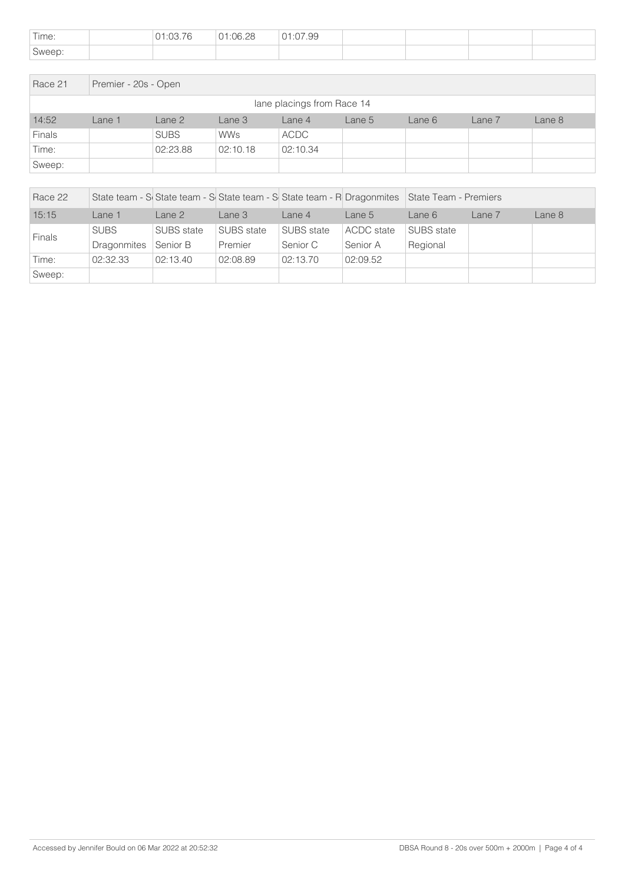| Time:  | 01:03.76 | :06.28 | ገ7.99<br>1.1.1 |  |  |
|--------|----------|--------|----------------|--|--|
| Sweep: |          |        |                |  |  |

| Race 21 | Premier - 20s - Open       |             |            |          |        |        |        |        |  |  |
|---------|----------------------------|-------------|------------|----------|--------|--------|--------|--------|--|--|
|         | lane placings from Race 14 |             |            |          |        |        |        |        |  |  |
| 14:52   | Lane 1                     | Lane 2      | Lane 3     | Lane 4   | Lane 5 | Lane 6 | Lane 7 | Lane 8 |  |  |
| Finals  |                            | <b>SUBS</b> | <b>WWs</b> | ACDC     |        |        |        |        |  |  |
| Time:   |                            | 02:23.88    | 02:10.18   | 02:10.34 |        |        |        |        |  |  |
| Sweep:  |                            |             |            |          |        |        |        |        |  |  |

| Race 22       |             |            | State team - S State team - S State team - S State team - R Dragonmites State Team - Premiers |            |                   |            |        |        |
|---------------|-------------|------------|-----------------------------------------------------------------------------------------------|------------|-------------------|------------|--------|--------|
| 15:15         | Lane 1      | Lane 2     | Lane 3                                                                                        | Lane 4     | Lane 5            | Lane 6     | Lane 7 | Lane 8 |
| <b>Finals</b> | <b>SUBS</b> | SUBS state | <b>SUBS</b> state                                                                             | SUBS state | <b>ACDC</b> state | SUBS state |        |        |
|               | Dragonmites | Senior B   | Premier                                                                                       | Senior C   | Senior A          | Regional   |        |        |
| Time:         | 02:32.33    | 02:13.40   | 02:08.89                                                                                      | 02:13.70   | 02:09.52          |            |        |        |
| Sweep:        |             |            |                                                                                               |            |                   |            |        |        |